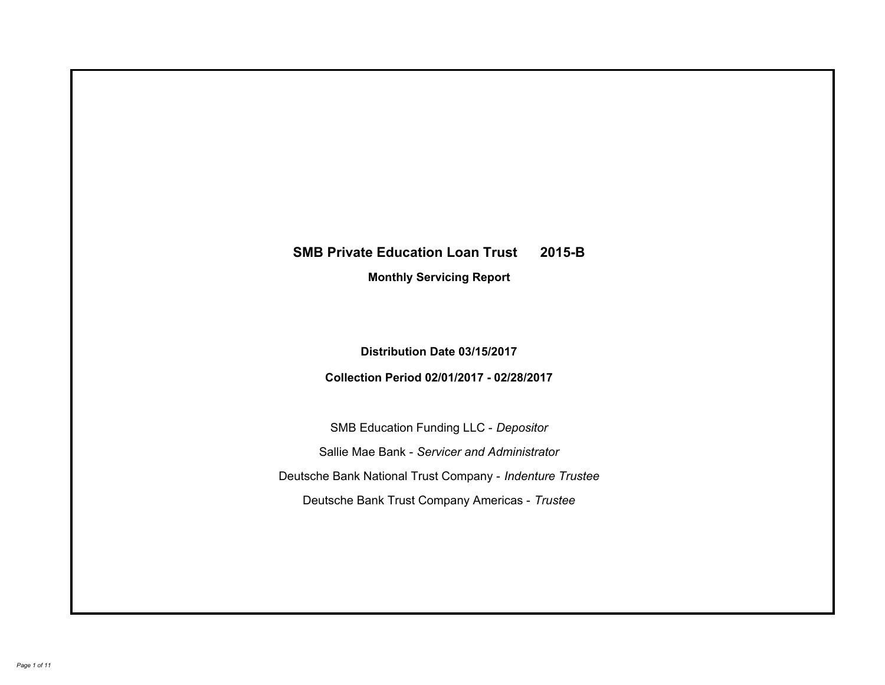# **SMB Private Education Loan Trust 2015-B Monthly Servicing Report**

**Distribution Date 03/15/2017**

**Collection Period 02/01/2017 - 02/28/2017**

SMB Education Funding LLC - *Depositor* Sallie Mae Bank - *Servicer and Administrator* Deutsche Bank National Trust Company - *Indenture Trustee* Deutsche Bank Trust Company Americas - *Trustee*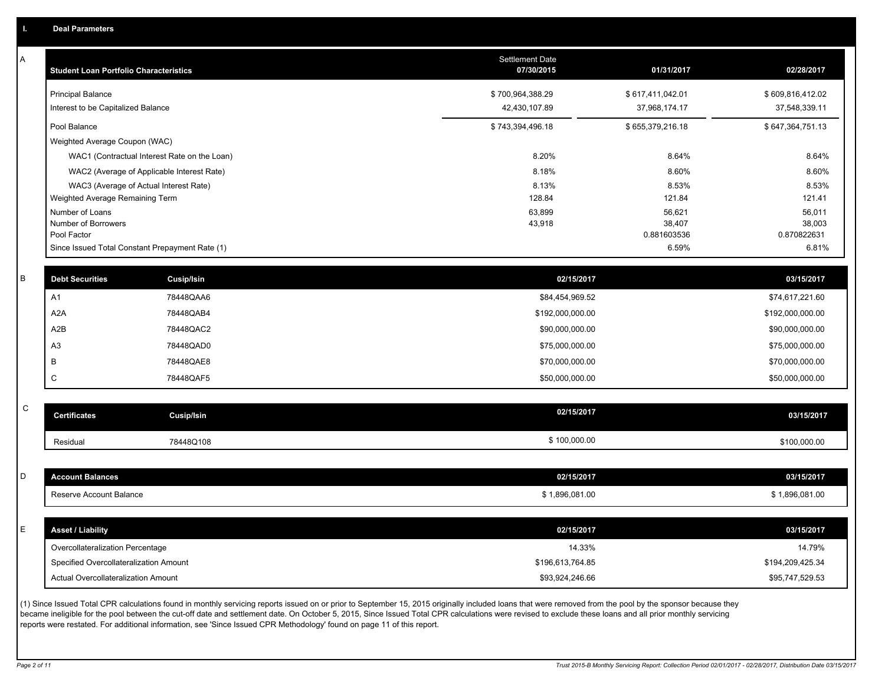| Α           | <b>Student Loan Portfolio Characteristics</b> |                                                 | <b>Settlement Date</b><br>07/30/2015 | 01/31/2017            | 02/28/2017            |
|-------------|-----------------------------------------------|-------------------------------------------------|--------------------------------------|-----------------------|-----------------------|
|             | <b>Principal Balance</b>                      |                                                 | \$700,964,388.29                     | \$617,411,042.01      | \$609,816,412.02      |
|             | Interest to be Capitalized Balance            |                                                 | 42,430,107.89                        | 37,968,174.17         | 37,548,339.11         |
|             | Pool Balance                                  |                                                 | \$743,394,496.18                     | \$655,379,216.18      | \$647,364,751.13      |
|             | Weighted Average Coupon (WAC)                 |                                                 |                                      |                       |                       |
|             |                                               | WAC1 (Contractual Interest Rate on the Loan)    | 8.20%                                | 8.64%                 | 8.64%                 |
|             |                                               | WAC2 (Average of Applicable Interest Rate)      | 8.18%                                | 8.60%                 | 8.60%                 |
|             |                                               | WAC3 (Average of Actual Interest Rate)          | 8.13%                                | 8.53%                 | 8.53%                 |
|             | Weighted Average Remaining Term               |                                                 | 128.84                               | 121.84                | 121.41                |
|             | Number of Loans                               |                                                 | 63,899                               | 56,621                | 56,011                |
|             | Number of Borrowers<br>Pool Factor            |                                                 | 43,918                               | 38,407<br>0.881603536 | 38,003<br>0.870822631 |
|             |                                               | Since Issued Total Constant Prepayment Rate (1) |                                      | 6.59%                 | 6.81%                 |
|             |                                               |                                                 |                                      |                       |                       |
| B           | <b>Debt Securities</b>                        | Cusip/Isin                                      | 02/15/2017                           |                       | 03/15/2017            |
|             | A1                                            | 78448QAA6                                       | \$84,454,969.52                      |                       | \$74,617,221.60       |
|             | A2A                                           | 78448QAB4                                       | \$192,000,000.00                     |                       | \$192,000,000.00      |
|             | A2B                                           | 78448QAC2                                       | \$90,000,000.00                      |                       | \$90,000,000.00       |
|             | A <sub>3</sub>                                | 78448QAD0                                       | \$75,000,000.00                      |                       | \$75,000,000.00       |
|             | B                                             | 78448QAE8                                       | \$70,000,000.00                      |                       | \$70,000,000.00       |
|             | C                                             | 78448QAF5                                       | \$50,000,000.00                      |                       | \$50,000,000.00       |
|             |                                               |                                                 |                                      |                       |                       |
| $\mathsf C$ | <b>Certificates</b>                           | Cusip/Isin                                      | 02/15/2017                           |                       | 03/15/2017            |
|             | Residual                                      | 78448Q108                                       | \$100,000.00                         |                       | \$100,000.00          |
|             |                                               |                                                 |                                      |                       |                       |
| D           | <b>Account Balances</b>                       |                                                 | 02/15/2017                           |                       | 03/15/2017            |
|             | Reserve Account Balance                       |                                                 | \$1,896,081.00                       |                       | \$1,896,081.00        |
|             |                                               |                                                 |                                      |                       |                       |
| E.          | <b>Asset / Liability</b>                      |                                                 | 02/15/2017                           |                       | 03/15/2017            |
|             | Overcollateralization Percentage              |                                                 | 14.33%                               |                       | 14.79%                |
|             | Specified Overcollateralization Amount        |                                                 | \$196,613,764.85                     |                       | \$194,209,425.34      |
|             | Actual Overcollateralization Amount           |                                                 | \$93,924,246.66                      |                       | \$95,747,529.53       |
|             |                                               |                                                 |                                      |                       |                       |

(1) Since Issued Total CPR calculations found in monthly servicing reports issued on or prior to September 15, 2015 originally included loans that were removed from the pool by the sponsor because they became ineligible for the pool between the cut-off date and settlement date. On October 5, 2015, Since Issued Total CPR calculations were revised to exclude these loans and all prior monthly servicing reports were restated. For additional information, see 'Since Issued CPR Methodology' found on page 11 of this report.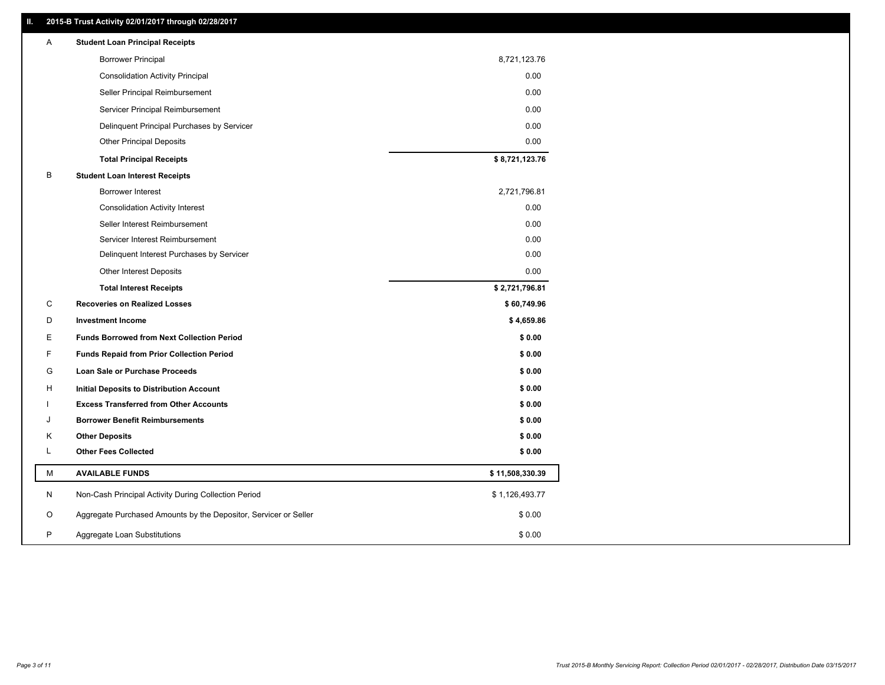# **II. 2015-B Trust Activity 02/01/2017 through 02/28/2017**

| <b>Student Loan Principal Receipts</b>                                          |  |
|---------------------------------------------------------------------------------|--|
| <b>Borrower Principal</b><br>8,721,123.76                                       |  |
| 0.00<br><b>Consolidation Activity Principal</b>                                 |  |
| 0.00<br>Seller Principal Reimbursement                                          |  |
| 0.00<br>Servicer Principal Reimbursement                                        |  |
| 0.00<br>Delinquent Principal Purchases by Servicer                              |  |
| 0.00<br><b>Other Principal Deposits</b>                                         |  |
| \$8,721,123.76<br><b>Total Principal Receipts</b>                               |  |
| B<br><b>Student Loan Interest Receipts</b>                                      |  |
| <b>Borrower Interest</b><br>2,721,796.81                                        |  |
| 0.00<br><b>Consolidation Activity Interest</b>                                  |  |
| 0.00<br>Seller Interest Reimbursement                                           |  |
| 0.00<br>Servicer Interest Reimbursement                                         |  |
| 0.00<br>Delinquent Interest Purchases by Servicer                               |  |
| Other Interest Deposits<br>0.00                                                 |  |
| \$2,721,796.81<br><b>Total Interest Receipts</b>                                |  |
| C<br><b>Recoveries on Realized Losses</b><br>\$60,749.96                        |  |
| \$4,659.86<br>D<br><b>Investment Income</b>                                     |  |
| Е<br><b>Funds Borrowed from Next Collection Period</b><br>\$0.00                |  |
| F<br><b>Funds Repaid from Prior Collection Period</b><br>\$0.00                 |  |
| G<br>\$0.00<br>Loan Sale or Purchase Proceeds                                   |  |
| \$0.00<br>н<br>Initial Deposits to Distribution Account                         |  |
| <b>Excess Transferred from Other Accounts</b><br>\$0.00                         |  |
| <b>Borrower Benefit Reimbursements</b><br>\$0.00<br>J                           |  |
| <b>Other Deposits</b><br>\$0.00<br>Κ                                            |  |
| L<br><b>Other Fees Collected</b><br>\$0.00                                      |  |
| м<br><b>AVAILABLE FUNDS</b><br>\$11,508,330.39                                  |  |
| N<br>Non-Cash Principal Activity During Collection Period<br>\$1,126,493.77     |  |
| Aggregate Purchased Amounts by the Depositor, Servicer or Seller<br>O<br>\$0.00 |  |
| P<br>\$0.00<br>Aggregate Loan Substitutions                                     |  |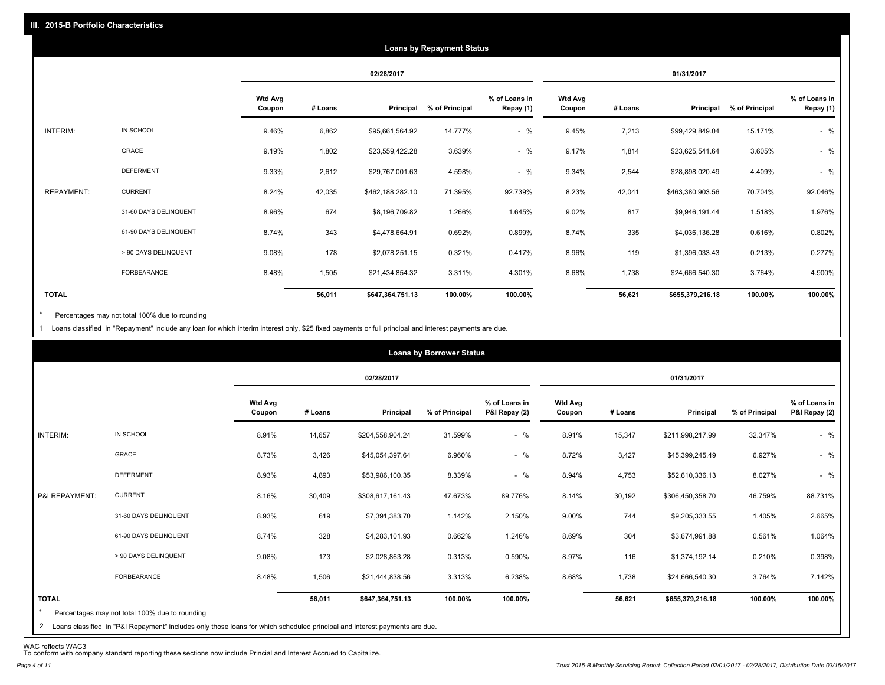|                   |                       |                          |         |                  | <b>Loans by Repayment Status</b> |                            |                          |         |                  |                |                            |
|-------------------|-----------------------|--------------------------|---------|------------------|----------------------------------|----------------------------|--------------------------|---------|------------------|----------------|----------------------------|
|                   |                       |                          |         | 02/28/2017       |                                  |                            |                          |         | 01/31/2017       |                |                            |
|                   |                       | <b>Wtd Avg</b><br>Coupon | # Loans | Principal        | % of Principal                   | % of Loans in<br>Repay (1) | <b>Wtd Avg</b><br>Coupon | # Loans | Principal        | % of Principal | % of Loans in<br>Repay (1) |
| INTERIM:          | IN SCHOOL             | 9.46%                    | 6,862   | \$95,661,564.92  | 14.777%                          | $-$ %                      | 9.45%                    | 7,213   | \$99,429,849.04  | 15.171%        | $-$ %                      |
|                   | GRACE                 | 9.19%                    | 1,802   | \$23,559,422.28  | 3.639%                           | $-$ %                      | 9.17%                    | 1,814   | \$23,625,541.64  | 3.605%         | $-$ %                      |
|                   | <b>DEFERMENT</b>      | 9.33%                    | 2,612   | \$29,767,001.63  | 4.598%                           | $-$ %                      | 9.34%                    | 2,544   | \$28,898,020.49  | 4.409%         | $-$ %                      |
| <b>REPAYMENT:</b> | <b>CURRENT</b>        | 8.24%                    | 42,035  | \$462,188,282.10 | 71.395%                          | 92.739%                    | 8.23%                    | 42,041  | \$463,380,903.56 | 70.704%        | 92.046%                    |
|                   | 31-60 DAYS DELINQUENT | 8.96%                    | 674     | \$8,196,709.82   | 1.266%                           | 1.645%                     | 9.02%                    | 817     | \$9,946,191.44   | 1.518%         | 1.976%                     |
|                   | 61-90 DAYS DELINQUENT | 8.74%                    | 343     | \$4,478,664.91   | 0.692%                           | 0.899%                     | 8.74%                    | 335     | \$4,036,136.28   | 0.616%         | 0.802%                     |
|                   | > 90 DAYS DELINQUENT  | 9.08%                    | 178     | \$2,078,251.15   | 0.321%                           | 0.417%                     | 8.96%                    | 119     | \$1,396,033.43   | 0.213%         | 0.277%                     |
|                   | <b>FORBEARANCE</b>    | 8.48%                    | 1,505   | \$21,434,854.32  | 3.311%                           | 4.301%                     | 8.68%                    | 1,738   | \$24,666,540.30  | 3.764%         | 4.900%                     |
| <b>TOTAL</b>      |                       |                          | 56,011  | \$647,364,751.13 | 100.00%                          | 100.00%                    |                          | 56,621  | \$655,379,216.18 | 100.00%        | 100.00%                    |

Percentages may not total 100% due to rounding \*

1 Loans classified in "Repayment" include any loan for which interim interest only, \$25 fixed payments or full principal and interest payments are due.

|                |                       |                          |         | 02/28/2017       |                |                                |                   |         | 01/31/2017       |                |                                |
|----------------|-----------------------|--------------------------|---------|------------------|----------------|--------------------------------|-------------------|---------|------------------|----------------|--------------------------------|
|                |                       | <b>Wtd Avg</b><br>Coupon | # Loans | Principal        | % of Principal | % of Loans in<br>P&I Repay (2) | Wtd Avg<br>Coupon | # Loans | Principal        | % of Principal | % of Loans in<br>P&I Repay (2) |
| INTERIM:       | IN SCHOOL             | 8.91%                    | 14,657  | \$204,558,904.24 | 31.599%        | $-$ %                          | 8.91%             | 15,347  | \$211,998,217.99 | 32.347%        | $-$ %                          |
|                | <b>GRACE</b>          | 8.73%                    | 3,426   | \$45,054,397.64  | 6.960%         | $-$ %                          | 8.72%             | 3,427   | \$45,399,245.49  | 6.927%         | $-$ %                          |
|                | <b>DEFERMENT</b>      | 8.93%                    | 4,893   | \$53,986,100.35  | 8.339%         | $-$ %                          | 8.94%             | 4,753   | \$52,610,336.13  | 8.027%         | $-$ %                          |
| P&I REPAYMENT: | <b>CURRENT</b>        | 8.16%                    | 30,409  | \$308,617,161.43 | 47.673%        | 89.776%                        | 8.14%             | 30,192  | \$306,450,358.70 | 46.759%        | 88.731%                        |
|                | 31-60 DAYS DELINQUENT | 8.93%                    | 619     | \$7,391,383.70   | 1.142%         | 2.150%                         | 9.00%             | 744     | \$9,205,333.55   | 1.405%         | 2.665%                         |
|                | 61-90 DAYS DELINQUENT | 8.74%                    | 328     | \$4,283,101.93   | 0.662%         | 1.246%                         | 8.69%             | 304     | \$3,674,991.88   | 0.561%         | 1.064%                         |
|                | > 90 DAYS DELINQUENT  | 9.08%                    | 173     | \$2,028,863.28   | 0.313%         | 0.590%                         | 8.97%             | 116     | \$1,374,192.14   | 0.210%         | 0.398%                         |
|                | FORBEARANCE           | 8.48%                    | 1,506   | \$21,444,838.56  | 3.313%         | 6.238%                         | 8.68%             | 1,738   | \$24,666,540.30  | 3.764%         | 7.142%                         |
| <b>TOTAL</b>   |                       |                          | 56,011  | \$647,364,751.13 | 100.00%        | 100.00%                        |                   | 56,621  | \$655,379,216.18 | 100.00%        | 100.00%                        |

WAC reflects WAC3 To conform with company standard reporting these sections now include Princial and Interest Accrued to Capitalize.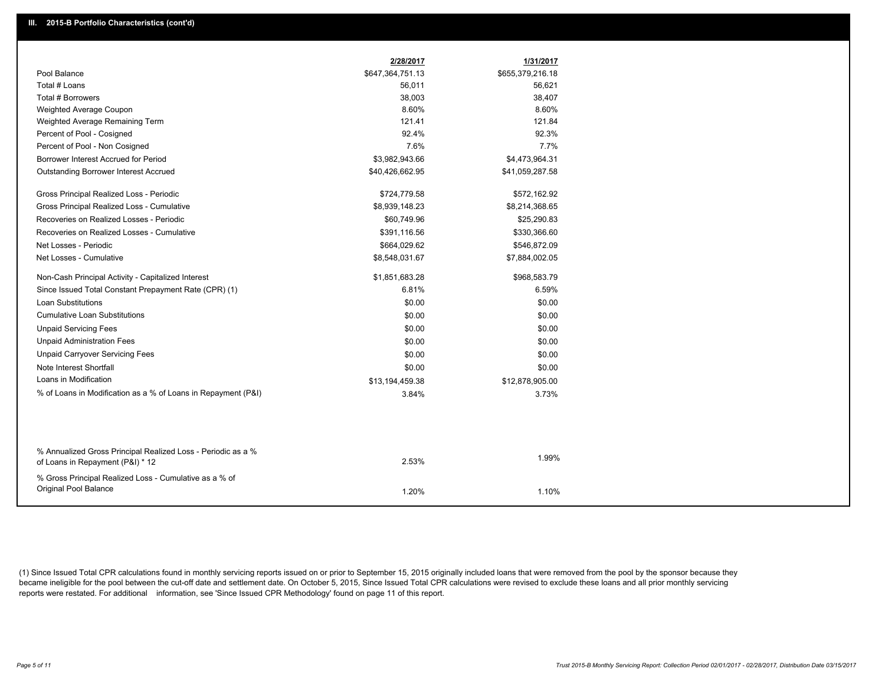|                                                                                                  | 2/28/2017        | 1/31/2017        |
|--------------------------------------------------------------------------------------------------|------------------|------------------|
| Pool Balance                                                                                     | \$647,364,751.13 | \$655,379,216.18 |
| Total # Loans                                                                                    | 56,011           | 56,621           |
| <b>Total # Borrowers</b>                                                                         | 38,003           | 38,407           |
| Weighted Average Coupon                                                                          | 8.60%            | 8.60%            |
| Weighted Average Remaining Term                                                                  | 121.41           | 121.84           |
| Percent of Pool - Cosigned                                                                       | 92.4%            | 92.3%            |
| Percent of Pool - Non Cosigned                                                                   | 7.6%             | 7.7%             |
| Borrower Interest Accrued for Period                                                             | \$3,982,943.66   | \$4,473,964.31   |
| Outstanding Borrower Interest Accrued                                                            | \$40,426,662.95  | \$41,059,287.58  |
| Gross Principal Realized Loss - Periodic                                                         | \$724,779.58     | \$572,162.92     |
| Gross Principal Realized Loss - Cumulative                                                       | \$8,939,148.23   | \$8,214,368.65   |
| Recoveries on Realized Losses - Periodic                                                         | \$60,749.96      | \$25,290.83      |
| Recoveries on Realized Losses - Cumulative                                                       | \$391,116.56     | \$330,366.60     |
| Net Losses - Periodic                                                                            | \$664,029.62     | \$546,872.09     |
| Net Losses - Cumulative                                                                          | \$8,548,031.67   | \$7,884,002.05   |
| Non-Cash Principal Activity - Capitalized Interest                                               | \$1,851,683.28   | \$968,583.79     |
| Since Issued Total Constant Prepayment Rate (CPR) (1)                                            | 6.81%            | 6.59%            |
| <b>Loan Substitutions</b>                                                                        | \$0.00           | \$0.00           |
| <b>Cumulative Loan Substitutions</b>                                                             | \$0.00           | \$0.00           |
| <b>Unpaid Servicing Fees</b>                                                                     | \$0.00           | \$0.00           |
| <b>Unpaid Administration Fees</b>                                                                | \$0.00           | \$0.00           |
| <b>Unpaid Carryover Servicing Fees</b>                                                           | \$0.00           | \$0.00           |
| Note Interest Shortfall                                                                          | \$0.00           | \$0.00           |
| Loans in Modification                                                                            | \$13,194,459.38  | \$12,878,905.00  |
| % of Loans in Modification as a % of Loans in Repayment (P&I)                                    | 3.84%            | 3.73%            |
|                                                                                                  |                  |                  |
|                                                                                                  |                  |                  |
| % Annualized Gross Principal Realized Loss - Periodic as a %<br>of Loans in Repayment (P&I) * 12 | 2.53%            | 1.99%            |
| % Gross Principal Realized Loss - Cumulative as a % of<br>Original Pool Balance                  | 1.20%            | 1.10%            |

(1) Since Issued Total CPR calculations found in monthly servicing reports issued on or prior to September 15, 2015 originally included loans that were removed from the pool by the sponsor because they became ineligible for the pool between the cut-off date and settlement date. On October 5, 2015, Since Issued Total CPR calculations were revised to exclude these loans and all prior monthly servicing reports were restated. For additional information, see 'Since Issued CPR Methodology' found on page 11 of this report.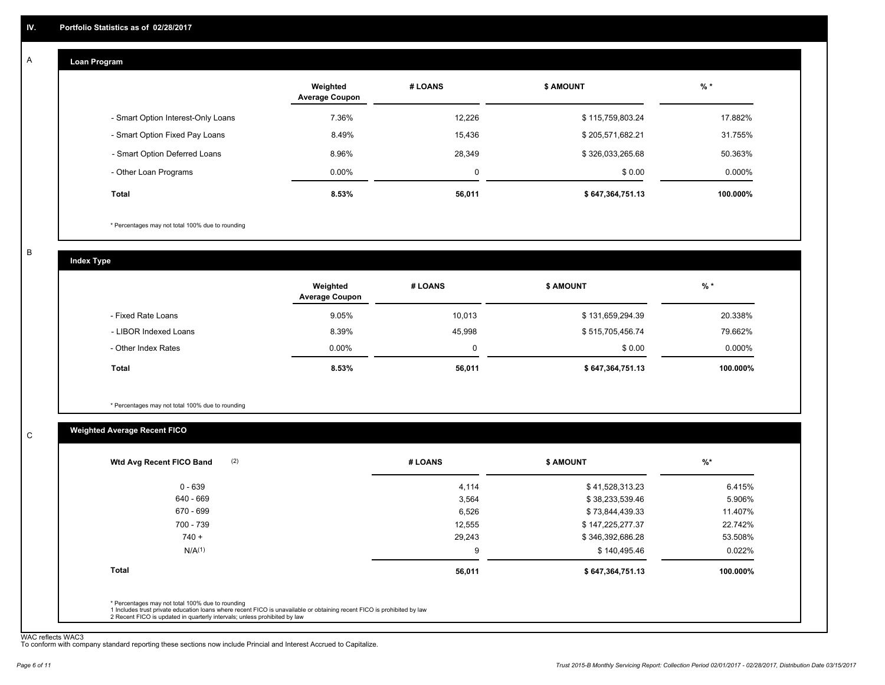#### **Loan Program**  A

|                                    | Weighted<br><b>Average Coupon</b> | # LOANS | <b>\$ AMOUNT</b> | $%$ *     |
|------------------------------------|-----------------------------------|---------|------------------|-----------|
| - Smart Option Interest-Only Loans | 7.36%                             | 12.226  | \$115,759,803.24 | 17.882%   |
| - Smart Option Fixed Pay Loans     | 8.49%                             | 15,436  | \$205,571,682.21 | 31.755%   |
| - Smart Option Deferred Loans      | 8.96%                             | 28.349  | \$326,033,265.68 | 50.363%   |
| - Other Loan Programs              | $0.00\%$                          | 0       | \$0.00           | $0.000\%$ |
| <b>Total</b>                       | 8.53%                             | 56,011  | \$647,364,751.13 | 100.000%  |

\* Percentages may not total 100% due to rounding

B

C

**Index Type**

|                       | Weighted<br><b>Average Coupon</b> | # LOANS | <b>\$ AMOUNT</b> | $%$ *     |
|-----------------------|-----------------------------------|---------|------------------|-----------|
| - Fixed Rate Loans    | 9.05%                             | 10,013  | \$131,659,294.39 | 20.338%   |
| - LIBOR Indexed Loans | 8.39%                             | 45.998  | \$515,705,456.74 | 79.662%   |
| - Other Index Rates   | $0.00\%$                          |         | \$0.00           | $0.000\%$ |
| Total                 | 8.53%                             | 56,011  | \$647,364,751.13 | 100.000%  |

\* Percentages may not total 100% due to rounding

# **Weighted Average Recent FICO**

| $0 - 639$<br>640 - 669<br>670 - 699 | 4,114<br>3,564 | \$41,528,313.23<br>\$38,233,539.46 | 6.415%   |
|-------------------------------------|----------------|------------------------------------|----------|
|                                     |                |                                    |          |
|                                     |                |                                    | 5.906%   |
|                                     | 6,526          | \$73,844,439.33                    | 11.407%  |
| 700 - 739                           | 12,555         | \$147,225,277.37                   | 22.742%  |
| $740 +$                             | 29,243         | \$346,392,686.28                   | 53.508%  |
| N/A <sup>(1)</sup>                  | 9              | \$140,495.46                       | 0.022%   |
| Total                               | 56,011         | \$647,364,751.13                   | 100.000% |

WAC reflects WAC3 To conform with company standard reporting these sections now include Princial and Interest Accrued to Capitalize.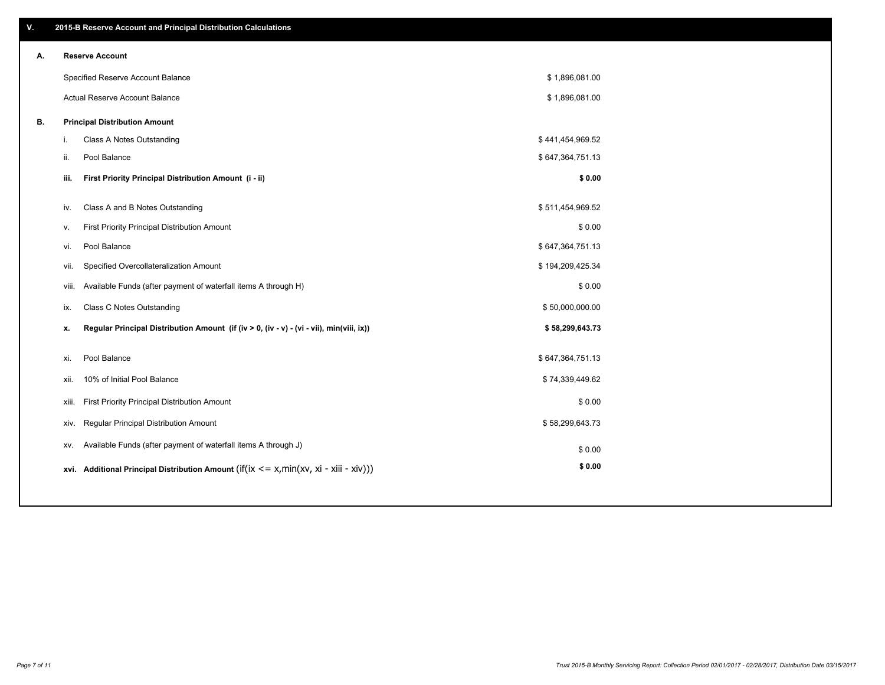| ۷. |     | 2015-B Reserve Account and Principal Distribution Calculations                             |                  |  |
|----|-----|--------------------------------------------------------------------------------------------|------------------|--|
| А. |     | <b>Reserve Account</b>                                                                     |                  |  |
|    |     | Specified Reserve Account Balance                                                          | \$1,896,081.00   |  |
|    |     | Actual Reserve Account Balance                                                             | \$1,896,081.00   |  |
| В. |     | <b>Principal Distribution Amount</b>                                                       |                  |  |
|    | i.  | Class A Notes Outstanding                                                                  | \$441,454,969.52 |  |
|    | ii. | Pool Balance                                                                               | \$647,364,751.13 |  |
|    |     | First Priority Principal Distribution Amount (i - ii)<br>iii.                              | \$0.00           |  |
|    |     |                                                                                            |                  |  |
|    | iv. | Class A and B Notes Outstanding                                                            | \$511,454,969.52 |  |
|    | v.  | First Priority Principal Distribution Amount                                               | \$0.00           |  |
|    | vi. | Pool Balance                                                                               | \$647,364,751.13 |  |
|    |     | Specified Overcollateralization Amount<br>vii.                                             | \$194,209,425.34 |  |
|    |     | Available Funds (after payment of waterfall items A through H)<br>viii.                    | \$0.00           |  |
|    | ix. | <b>Class C Notes Outstanding</b>                                                           | \$50,000,000.00  |  |
|    | x.  | Regular Principal Distribution Amount (if (iv > 0, (iv - v) - (vi - vii), min(viii, ix))   | \$58,299,643.73  |  |
|    | xi. | Pool Balance                                                                               | \$647,364,751.13 |  |
|    |     | 10% of Initial Pool Balance<br>xii.                                                        | \$74,339,449.62  |  |
|    |     | First Priority Principal Distribution Amount<br>xiii.                                      | \$0.00           |  |
|    |     | Regular Principal Distribution Amount<br>XIV.                                              | \$58,299,643.73  |  |
|    |     | Available Funds (after payment of waterfall items A through J)<br>XV.                      | \$0.00           |  |
|    |     | xvi. Additional Principal Distribution Amount (if(ix $\lt$ = x, min(xv, xi - xiii - xiv))) | \$0.00           |  |
|    |     |                                                                                            |                  |  |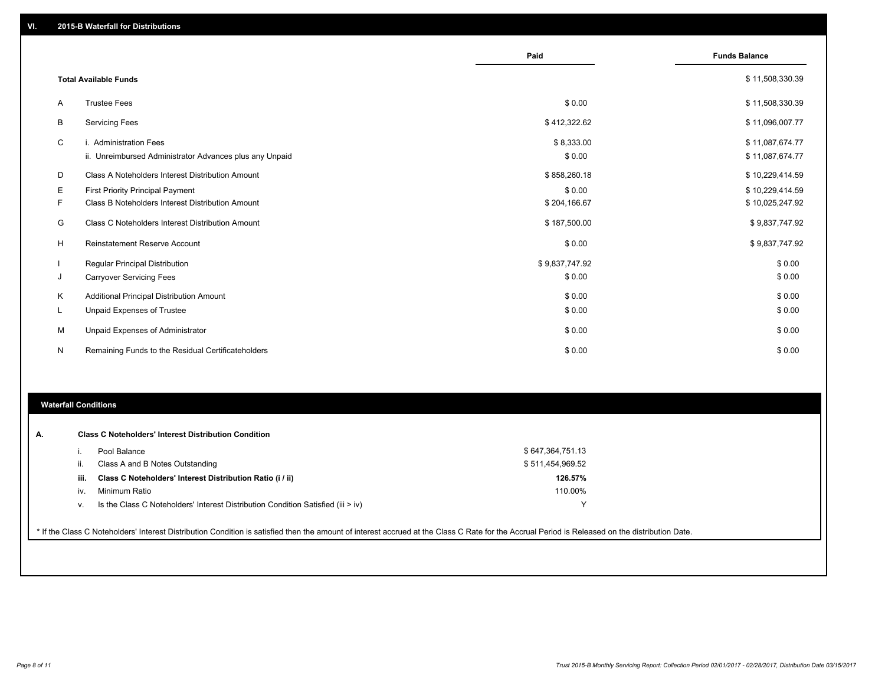|   |                                                                                   | Paid                 | <b>Funds Balance</b>               |
|---|-----------------------------------------------------------------------------------|----------------------|------------------------------------|
|   | <b>Total Available Funds</b>                                                      |                      | \$11,508,330.39                    |
| A | <b>Trustee Fees</b>                                                               | \$0.00               | \$11,508,330.39                    |
| B | <b>Servicing Fees</b>                                                             | \$412,322.62         | \$11,096,007.77                    |
| C | i. Administration Fees<br>ii. Unreimbursed Administrator Advances plus any Unpaid | \$8,333.00<br>\$0.00 | \$11,087,674.77<br>\$11,087,674.77 |
| D | Class A Noteholders Interest Distribution Amount                                  | \$858,260.18         | \$10,229,414.59                    |
| Ε | First Priority Principal Payment                                                  | \$0.00               | \$10,229,414.59                    |
| F | Class B Noteholders Interest Distribution Amount                                  | \$204,166.67         | \$10,025,247.92                    |
| G | Class C Noteholders Interest Distribution Amount                                  | \$187,500.00         | \$9,837,747.92                     |
| H | <b>Reinstatement Reserve Account</b>                                              | \$0.00               | \$9,837,747.92                     |
|   | <b>Regular Principal Distribution</b>                                             | \$9,837,747.92       | \$0.00                             |
| J | <b>Carryover Servicing Fees</b>                                                   | \$0.00               | \$0.00                             |
| Κ | Additional Principal Distribution Amount                                          | \$0.00               | \$0.00                             |
| L | Unpaid Expenses of Trustee                                                        | \$0.00               | \$0.00                             |
| M | Unpaid Expenses of Administrator                                                  | \$0.00               | \$0.00                             |
| N | Remaining Funds to the Residual Certificateholders                                | \$0.00               | \$0.00                             |

### **Waterfall Conditions**

|      | Pool Balance                                                                     | \$647,364,751.13 |
|------|----------------------------------------------------------------------------------|------------------|
|      | Class A and B Notes Outstanding                                                  | \$511,454,969.52 |
| iii. | Class C Noteholders' Interest Distribution Ratio (i / ii)                        | 126.57%          |
| iv.  | Minimum Ratio                                                                    | 110.00%          |
|      | Is the Class C Noteholders' Interest Distribution Condition Satisfied (iii > iv) | $\checkmark$     |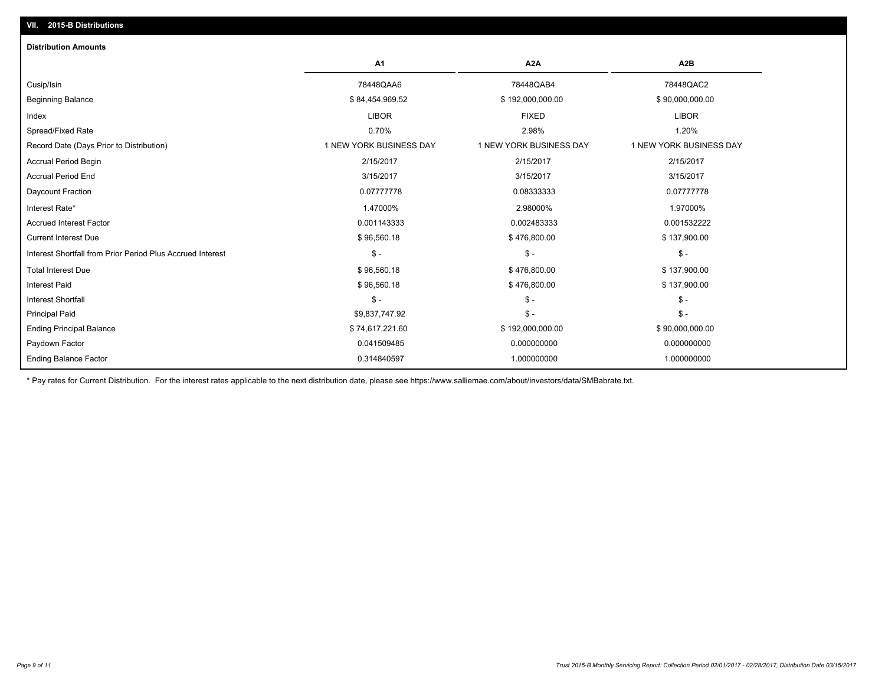| <b>Distribution Amounts</b>                                |                         |                         |                         |
|------------------------------------------------------------|-------------------------|-------------------------|-------------------------|
|                                                            | A <sub>1</sub>          | A <sub>2</sub> A        | A <sub>2</sub> B        |
| Cusip/Isin                                                 | 78448QAA6               | 78448QAB4               | 78448QAC2               |
| <b>Beginning Balance</b>                                   | \$84,454,969.52         | \$192,000,000.00        | \$90,000,000.00         |
| Index                                                      | <b>LIBOR</b>            | <b>FIXED</b>            | <b>LIBOR</b>            |
| Spread/Fixed Rate                                          | 0.70%                   | 2.98%                   | 1.20%                   |
| Record Date (Days Prior to Distribution)                   | 1 NEW YORK BUSINESS DAY | 1 NEW YORK BUSINESS DAY | 1 NEW YORK BUSINESS DAY |
| <b>Accrual Period Begin</b>                                | 2/15/2017               | 2/15/2017               | 2/15/2017               |
| <b>Accrual Period End</b>                                  | 3/15/2017               | 3/15/2017               | 3/15/2017               |
| Daycount Fraction                                          | 0.07777778              | 0.08333333              | 0.07777778              |
| Interest Rate*                                             | 1.47000%                | 2.98000%                | 1.97000%                |
| <b>Accrued Interest Factor</b>                             | 0.001143333             | 0.002483333             | 0.001532222             |
| <b>Current Interest Due</b>                                | \$96,560.18             | \$476,800.00            | \$137,900.00            |
| Interest Shortfall from Prior Period Plus Accrued Interest | $\frac{1}{2}$           | $\frac{1}{2}$           | $\mathsf{\$}$ -         |
| <b>Total Interest Due</b>                                  | \$96,560.18             | \$476,800.00            | \$137,900.00            |
| <b>Interest Paid</b>                                       | \$96,560.18             | \$476,800.00            | \$137,900.00            |
| <b>Interest Shortfall</b>                                  | $\mathsf{\$}$ -         | $\frac{2}{3}$ -         | $\mathsf{\$}$ -         |
| <b>Principal Paid</b>                                      | \$9,837,747.92          | $\frac{2}{3}$ -         | $S -$                   |
| <b>Ending Principal Balance</b>                            | \$74,617,221.60         | \$192,000,000.00        | \$90,000,000.00         |
| Paydown Factor                                             | 0.041509485             | 0.000000000             | 0.000000000             |
| <b>Ending Balance Factor</b>                               | 0.314840597             | 1.000000000             | 1.000000000             |

\* Pay rates for Current Distribution. For the interest rates applicable to the next distribution date, please see https://www.salliemae.com/about/investors/data/SMBabrate.txt.

**VII. 2015-B Distributions**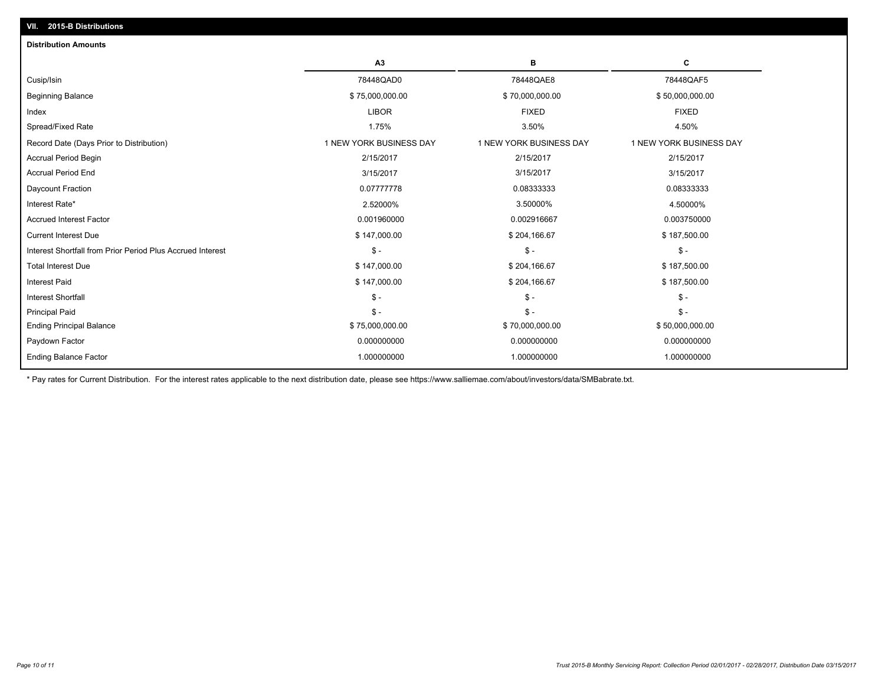| A3                      | в                       | С                       |
|-------------------------|-------------------------|-------------------------|
| 78448QAD0               | 78448QAE8               | 78448QAF5               |
| \$75,000,000.00         | \$70,000,000.00         | \$50,000,000.00         |
| <b>LIBOR</b>            | <b>FIXED</b>            | <b>FIXED</b>            |
| 1.75%                   | 3.50%                   | 4.50%                   |
| 1 NEW YORK BUSINESS DAY | 1 NEW YORK BUSINESS DAY | 1 NEW YORK BUSINESS DAY |
| 2/15/2017               | 2/15/2017               | 2/15/2017               |
| 3/15/2017               | 3/15/2017               | 3/15/2017               |
| 0.07777778              | 0.08333333              | 0.08333333              |
| 2.52000%                | 3.50000%                | 4.50000%                |
| 0.001960000             | 0.002916667             | 0.003750000             |
| \$147,000.00            | \$204,166.67            | \$187,500.00            |
| $\mathsf{\$}$ -         | $\mathsf{\$}$ -         | $S -$                   |
| \$147,000.00            | \$204,166.67            | \$187,500.00            |
| \$147,000.00            | \$204,166.67            | \$187,500.00            |
| $\mathsf S$ -           | $\mathsf{\$}$ -         | $\mathsf{\$}$ -         |
| $\mathsf{\$}$ -         | $S -$                   | $\mathsf{\$}$ -         |
| \$75,000,000.00         | \$70,000,000.00         | \$50,000,000.00         |
| 0.000000000             | 0.000000000             | 0.000000000             |
| 1.000000000             | 1.000000000             | 1.000000000             |
|                         |                         |                         |

\* Pay rates for Current Distribution. For the interest rates applicable to the next distribution date, please see https://www.salliemae.com/about/investors/data/SMBabrate.txt.

**VII. 2015-B Distributions**